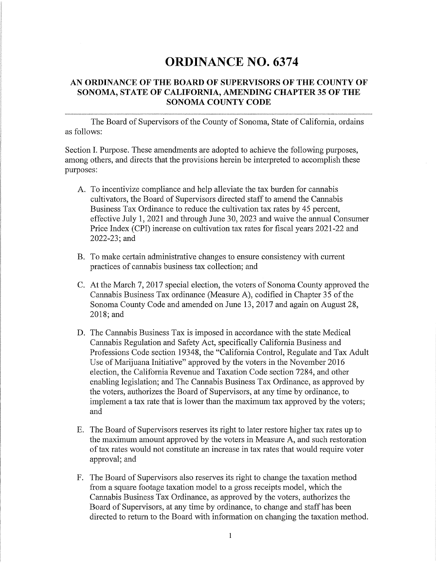## **ORDINANCE NO. 6374**

## **AN ORDINANCE OF THE BOARD OF SUPERVISORS OF THE COUNTY OF SONOMA, STATE OF CALIFORNIA, AMENDING CHAPTER 35 OF THE SONOMA COUNTY CODE**

The Board of Supervisors of the County of Sonoma, State of California, ordains as follows:

Section I. Purpose. These amendments are adopted to achieve the following purposes, among others, and directs that the provisions herein be interpreted to accomplish these purposes:

- A. To incentivize compliance and help alleviate the tax burden for cannabis cultivators, the Board of Supervisors directed staff to amend the Cannabis Business Tax Ordinance to reduce the cultivation tax rates by 45 percent, effective July 1, 2021 and through June 30, 2023 and waive the annual Consumer Price Index (CPI) increase on cultivation tax rates for fiscal years 2021-22 and 2022-23; and
- B. To make certain administrative changes to ensure consistency with current practices of cannabis business tax collection; and
- C. At the March 7, 2017 special election, the voters of Sonoma County approved the Cannabis Business Tax ordinance (Measure A), codified in Chapter 35 of the Sonoma County Code and amended on June 13, 2017 and again on August 28, 2018;and
- D. The Cannabis Business Tax is imposed in accordance with the state Medical Cannabis Regulation and Safety Act, specifically California Business and Professions Code section 19348, the "California Control, Regulate and Tax Adult Use of Marijuana Initiative" approved by the voters in the November 2016 election, the California Revenue and Taxation Code section 7284, and other enabling legislation; and The Cannabis Business Tax Ordinance, as approved by the voters, authorizes the Board of Supervisors, at any time by ordinance, to implement a tax rate that is lower than the maximum tax approved by the voters; and
- E. The Board of Supervisors reserves its right to later restore higher tax rates up to the maximum amount approved by the voters in Measure A, and such restoration of tax rates would not constitute an increase in tax rates that would require voter approval; and
- F. The Board of Supervisors also reserves its right to change the taxation method from a square footage taxation model to a gross receipts model, which the Cannabis Business Tax Ordinance, as approved by the voters, authorizes the Board of Supervisors, at any time by ordinance, to change and staff has been directed to return to the Board with information on changing the taxation method.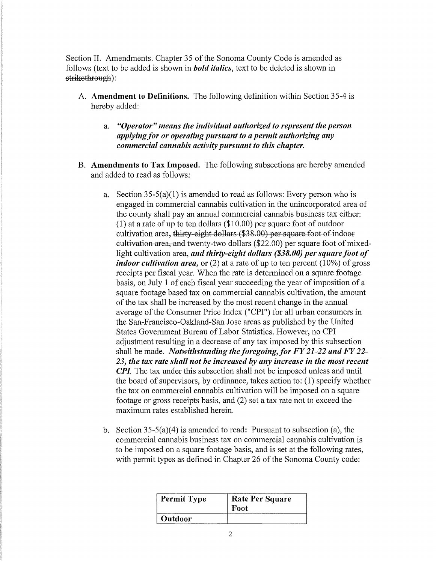Section IL Amendments. Chapter 35 of the Sonoma County Code is amended as follows (text to be added is shown in *bold italics,* text to be deleted is shown in strikethrough):

- A. **Amendment to Definitions.** The following definition within Section 35-4 is hereby added:
	- a. *"Operator" means the individual authorized to represent the person applying for or operating pursuant to a permit authorizing any commercial cannabis activity pursuant to this chapter.*
- **B. Amendments to Tax Imposed.** The following subsections are hereby amended and added to read as follows:
	- a. Section  $35-5(a)(1)$  is amended to read as follows: Every person who is engaged in commercial cannabis cultivation in the unincorporated area of the county shall pay an annual commercial cannabis business tax either:  $(1)$  at a rate of up to ten dollars  $(\$10.00)$  per square foot of outdoor cultivation area, thirty eight dollars (\$38.00) per square foot of indoor cultivation area, and twenty-two dollars (\$22.00) per square foot of mixedlight cultivation area, *and thirty-eight dollars (\$38.00) per square foot of indoor cultivation area,* or (2) at a rate of up to ten percent (10%) of gross receipts per fiscal year. When the rate is determined on a square footage basis, on July 1 of each fiscal year succeeding the year of imposition of a square footage based tax on commercial cannabis cultivation, the amount of the tax shall be increased by the most recent change in the annual average of the Consumer Price Index ("CPI") for all urban consumers in the San-Francisco-Oakland-San Jose areas as published by the United States Government Bureau of Labor Statistics. However, no CPI adjustment resulting in a decrease of any tax imposed by this subsection shall be made. *Notwithstanding the foregoing, for FY 21-22 and FY 22-23, the tax rate shall not be increased by any increase in the most recent CPI*. The tax under this subsection shall not be imposed unless and until the board of supervisors, by ordinance, takes action to: ( 1) specify whether the tax on commercial cannabis cultivation will be imposed on a square footage or gross receipts basis, and (2) set a tax rate not to exceed the maximum rates established herein.
	- b. Section 35-5(a)(4) is amended to read: Pursuant to subsection (a), the commercial cannabis business tax on commercial cannabis cultivation is to be imposed on a square footage basis, and is set at the following rates, with permit types as defined in Chapter 26 of the Sonoma County code:

| <b>Permit Type</b> | <b>Rate Per Square</b><br>-Foot |
|--------------------|---------------------------------|
| <b>Outdoor</b>     |                                 |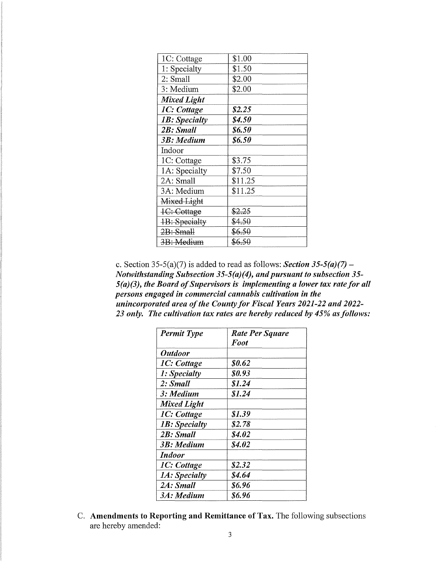| 1C: Cottage        | \$1.00  |
|--------------------|---------|
| 1: Specialty       | \$1.50  |
| 2: Small           | \$2.00  |
| 3: Medium          | \$2.00  |
| <b>Mixed Light</b> |         |
| 1C: Cottage        | \$2.25  |
| 1B: Specialty      | S4.50   |
| 2B: Small          | \$6.50  |
| 3B: Medium         | \$6.50  |
| Indoor             |         |
| 1C: Cottage        | \$3.75  |
| 1A: Specialty      | \$7.50  |
| 2A: Small          | \$11.25 |
| 3A: Medium         | \$11.25 |
| Mixed Light        |         |
| 1C: Cottage        | \$2.25  |
| 1B: Specialty      | \$4.50  |
| 2B: Small          | \$6.50  |
| 3B: Medium         | \$6.50  |

c. Section 35-5(a)(7) is added to read as follows: *Section 35-5(a)(7)* – *Notwithstanding Subsection 35-5(a)(4), and pursuant to subsection 35- 5(a)(3), the Board of Supervisors is implementing a lower tax rate for all persons engaged in commercial cannabis cultivation in the unincorporated area of the County for Fiscal Years 2021-22 and 2022- 23 only. The cultivation tax rates are hereby reduced by 45% as follows:* 

| <b>Permit Type</b>    | Rate Per Square |
|-----------------------|-----------------|
|                       | <b>Foot</b>     |
| <i><b>Outdoor</b></i> |                 |
| 1C: Cottage           | \$0.62          |
| 1: Specialty          | <b>SO.93</b>    |
| 2: Small              | \$1.24          |
| 3: Medium             | \$1.24          |
| <b>Mixed Light</b>    |                 |
| 1C: Cottage           | 81.39           |
| 1B: Specialty         | \$2.78          |
| 2B: Small             | <b>S4.02</b>    |
| 3B: Medium            | \$4.02          |
| Indoor                |                 |
| 1C: Cottage           | \$2.32          |
| 1A: Specialty         | S4.64           |
| 2A: Small             | 86.96           |
| 3A: Medium            | 86.96           |

C. **Amendments to Reporting and Remittance of Tax.** The following subsections are hereby amended: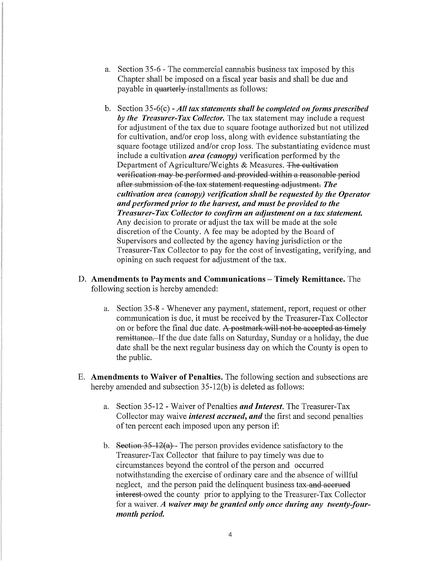- a. Section 35-6 The commercial cannabis business tax imposed by this Chapter shall be imposed on a fiscal year basis and shall be due and payable in quarterly installments as follows:
- b. Section 35-6(c) All tax statements shall be completed on forms prescribed *by the Treasurer-Tax Collector.* The tax statement may include a request for adjustment of the tax due to square footage authorized but not utilized for cultivation, and/or crop loss, along with evidence substantiating the square footage utilized and/or crop loss. The substantiating evidence must include a cultivation *area (canopy)* verification performed by the Department of Agriculture/Weights & Measures. The cultivation verification may be performed and provided within a reasonable period after submission of the tax statement requesting adjustment. *The cultivation area (canopy) verification shall be requested by the Operator and performed prior to the harvest, and must be provided to the Treasurer-Tax Collector to confirm an adjustment on a tax statement.*  Any decision to prorate or adjust the tax will be made at the sole discretion of the County. A fee may be adopted by the Board of Supervisors and collected by the agency having jurisdiction or the Treasurer-Tax Collector to pay for the cost of investigating, verifying, and opining on such request for adjustment of the tax.
- D. **Amendments to Payments and Communications Timely Remittance.** The following section is hereby amended:
	- a. Section 35-8 Whenever any payment, statement, report, request or other communication is due, it must be received by the Treasurer-Tax Collector on or before the final due date. A postmark will not be accepted as timely remittance. If the due date falls on Saturday, Sunday or a holiday, the due date shall be the next regular business day on which the County is open to the public.
- E. **Amendments to Waiver of Penalties.** The following section and subsections are hereby amended and subsection 35-12(b) is deleted as follows:
	- a. Section 35-12 Waiver of Penalties *and Interest.* The Treasurer-Tax Collector may waive *interest accrued, and* the first and second penalties of ten percent each imposed upon any person if:
	- b. Section  $35-12(a)$  The person provides evidence satisfactory to the Treasurer-Tax Collector that failure to pay timely was due to circumstances beyond the control of the person and occurred notwithstanding the exercise of ordinary care and the absence of willful neglect, and the person paid the delinquent business tax-and accrued interest owed the county prior to applying to the Treasurer-Tax Collector for a waiver. *A waiver may be granted only once during any twenty-fourmonth period.*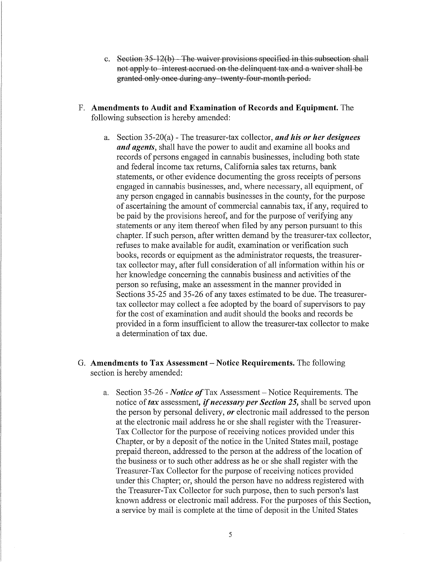- c. Section  $35-12(b)$  The waiver provisions specified in this subsection shall not apply to interest accrued on the delinquent tax and a waiver shall be granted only once during any twenty-four-month period.
- F. **Amendments to Audit and Examination of Records and Equipment.** The following subsection is hereby amended:
	- a. Section 35-20(a) The treasurer-tax collector, *and his or her designees and agents,* shall have the power to audit and examine all books and records of persons engaged in cannabis businesses, including both state and federal income tax returns, California sales tax returns, bank statements, or other evidence documenting the gross receipts of persons engaged in cannabis businesses, and, where necessary, all equipment, of any person engaged in cannabis businesses in the county, for the purpose of ascertaining the amount of commercial cannabis tax, if any, required to be paid by the provisions hereof, and for the purpose of verifying any statements or any item thereof when filed by any person pursuant to this chapter. If such person, after written demand by the treasurer-tax collector, refuses to make available for audit, examination or verification such books, records or equipment as the administrator requests, the treasurertax collector may, after full consideration of all information within his or her knowledge concerning the cannabis business and activities of the person so refusing, make an assessment in the manner provided in Sections 35-25 and 35-26 of any taxes estimated to be due. The treasurertax collector may collect a fee adopted by the board of supervisors to pay for the cost of examination and audit should the books and records be provided in a form insufficient to allow the treasurer-tax collector to make a determination of tax due.
- G. **Amendments to Tax Assessment Notice Requirements.** The following section is hereby amended:
	- a. Section 35-26 *Notice of* Tax Assessment Notice Requirements. The notice of *tax* assessment, if *necessary per Section 25,* shall be served upon the person by personal delivery, *or* electronic mail addressed to the person at the electronic mail address he or she shall register with the Treasurer-Tax Collector for the purpose of receiving notices provided under this Chapter, or by a deposit of the notice in the United States mail, postage prepaid thereon, addressed to the person at the address of the location of the business or to such other address as he or she shall register with the Treasurer-Tax Collector for the purpose of receiving notices provided under this Chapter; or, should the person have no address registered with the Treasurer-Tax Collector for such purpose, then to such person's last known address or electronic mail address. For the purposes of this Section, a service by mail is complete at the time of deposit in the United States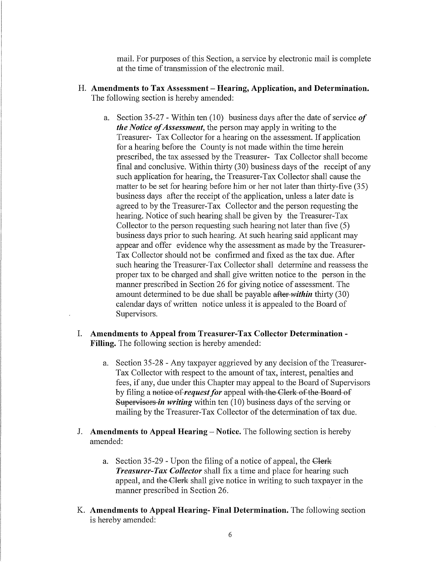mail. For purposes of this Section, a service by electronic mail is complete at the time of transmission of the electronic mail.

- H. **Amendments to Tax Assessment - Hearing, Application, and Determination.**  The following section is hereby amended:
	- a. Section 35-27 Within ten (10) business days after the date of service *of the Notice of Assessment,* the person may apply in writing to the Treasurer- Tax Collector for a hearing on the assessment. If application for a hearing before the County is not made within the time herein prescribed, the tax assessed by the Treasurer- Tax Collector shall become final and conclusive. Within thirty  $(30)$  business days of the receipt of any such application for hearing, the Treasurer-Tax Collector shall cause the matter to be set for hearing before him or her not later than thirty-five (35) business days after the receipt of the application, unless a later date is agreed to by the Treasurer-Tax Collector and the person requesting the hearing. Notice of such hearing shall be given by the Treasurer-Tax Collector to the person requesting such hearing not later than five (5) business days prior to such hearing. At such hearing said applicant may appear and offer evidence why the assessment as made by the Treasurer-Tax Collector should not be confirmed and fixed as the tax due. After such hearing the Treasurer-Tax Collector shall determine and reassess the proper tax to be charged and shall give written notice to the person in the manner prescribed in Section 26 for giving notice of assessment. The amount determined to be due shall be payable after-*within* thirty (30) calendar days of written notice unless it is appealed to the Board of Supervisors.
- I. **Amendments to Appeal from Treasurer-Tax Collector Determination Filling.** The following section is hereby amended:
	- a. Section 35-28 Any taxpayer aggrieved by any decision of the Treasurer-Tax Collector with respect to the amount of tax, interest, penalties and fees, if any, due under this Chapter may appeal to the Board of Supervisors by filing a notice of *request for* appeal with the Clerk of the Board of Supervisors *in writing* within ten (10) business days of the serving or mailing by the Treasurer-Tax Collector of the determination of tax due.
- J. **Amendments to Appeal Hearing- Notice.** The following section is hereby amended:
	- a. Section 35-29 Upon the filing of a notice of appeal, the Glerk *Treasurer-Tax Collector* shall fix a time and place for hearing such appeal, and the Clerk shall give notice in writing to such taxpayer in the manner prescribed in Section 26.
- K. **Amendments to Appeal Hearing- Final Determination.** The following section is hereby amended: